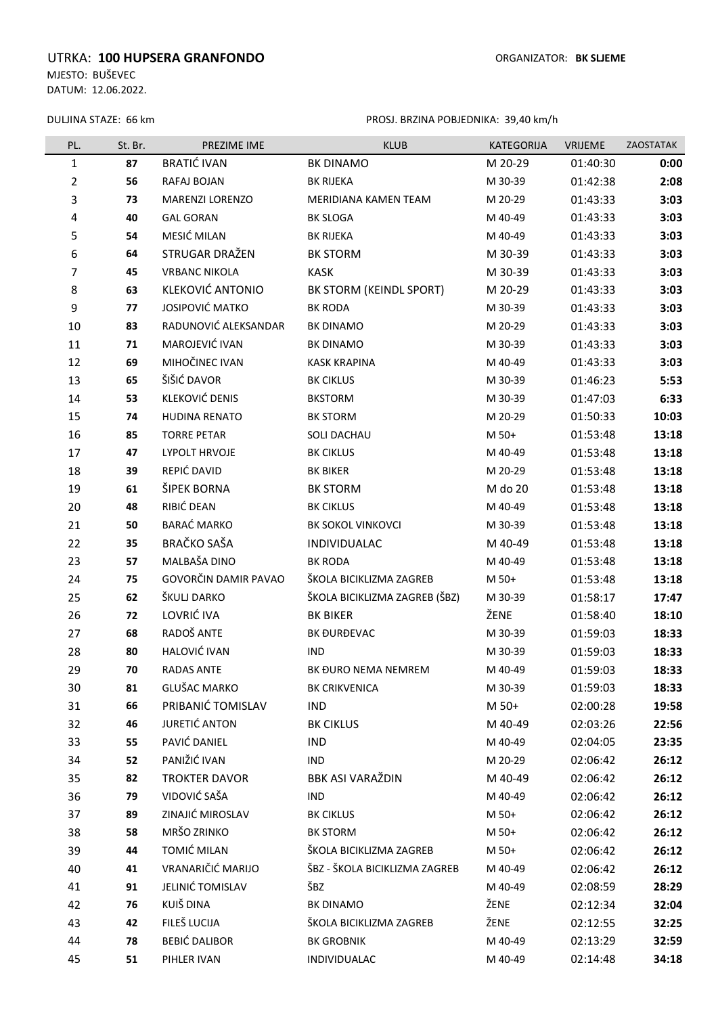## UTRKA: 100 HUPSERA GRANFONDO **ORGANIZATOR:** BK SLJEME

MJESTO: BUŠEVEC DATUM: 12.06.2022.

DULJINA STAZE: 66 km

PROSJ. BRZINA POBJEDNIKA: 39,40 km/h

| PL.            | St. Br. | PREZIME IME             | <b>KLUB</b>                   | KATEGORIJA | VRIJEME  | ZAOSTATAK |
|----------------|---------|-------------------------|-------------------------------|------------|----------|-----------|
| $\mathbf{1}$   | 87      | <b>BRATIĆ IVAN</b>      | <b>BK DINAMO</b>              | M 20-29    | 01:40:30 | 0:00      |
| $\overline{2}$ | 56      | RAFAJ BOJAN             | <b>BK RIJEKA</b>              | M 30-39    | 01:42:38 | 2:08      |
| 3              | 73      | <b>MARENZI LORENZO</b>  | MERIDIANA KAMEN TEAM          | M 20-29    | 01:43:33 | 3:03      |
| 4              | 40      | <b>GAL GORAN</b>        | <b>BK SLOGA</b>               | M 40-49    | 01:43:33 | 3:03      |
| 5              | 54      | MESIĆ MILAN             | <b>BK RIJEKA</b>              | M 40-49    | 01:43:33 | 3:03      |
| 6              | 64      | STRUGAR DRAŽEN          | <b>BK STORM</b>               | M 30-39    | 01:43:33 | 3:03      |
| 7              | 45      | <b>VRBANC NIKOLA</b>    | <b>KASK</b>                   | M 30-39    | 01:43:33 | 3:03      |
| 8              | 63      | <b>KLEKOVIĆ ANTONIO</b> | BK STORM (KEINDL SPORT)       | M 20-29    | 01:43:33 | 3:03      |
| 9              | 77      | JOSIPOVIĆ MATKO         | <b>BK RODA</b>                | M 30-39    | 01:43:33 | 3:03      |
| 10             | 83      | RADUNOVIĆ ALEKSANDAR    | <b>BK DINAMO</b>              | M 20-29    | 01:43:33 | 3:03      |
| 11             | 71      | MAROJEVIĆ IVAN          | <b>BK DINAMO</b>              | M 30-39    | 01:43:33 | 3:03      |
| 12             | 69      | MIHOČINEC IVAN          | <b>KASK KRAPINA</b>           | M 40-49    | 01:43:33 | 3:03      |
| 13             | 65      | ŠIŠIĆ DAVOR             | <b>BK CIKLUS</b>              | M 30-39    | 01:46:23 | 5:53      |
| 14             | 53      | KLEKOVIĆ DENIS          | <b>BKSTORM</b>                | M 30-39    | 01:47:03 | 6:33      |
| 15             | 74      | HUDINA RENATO           | <b>BK STORM</b>               | M 20-29    | 01:50:33 | 10:03     |
| 16             | 85      | <b>TORRE PETAR</b>      | SOLI DACHAU                   | M 50+      | 01:53:48 | 13:18     |
| 17             | 47      | LYPOLT HRVOJE           | <b>BK CIKLUS</b>              | M 40-49    | 01:53:48 | 13:18     |
| 18             | 39      | REPIĆ DAVID             | <b>BK BIKER</b>               | M 20-29    | 01:53:48 | 13:18     |
| 19             | 61      | ŠIPEK BORNA             | <b>BK STORM</b>               | M do 20    | 01:53:48 | 13:18     |
| 20             | 48      | RIBIĆ DEAN              | <b>BK CIKLUS</b>              | M 40-49    | 01:53:48 | 13:18     |
| 21             | 50      | BARAĆ MARKO             | <b>BK SOKOL VINKOVCI</b>      | M 30-39    | 01:53:48 | 13:18     |
| 22             | 35      | <b>BRAČKO SAŠA</b>      | INDIVIDUALAC                  | M 40-49    | 01:53:48 | 13:18     |
| 23             | 57      | MALBAŠA DINO            | <b>BK RODA</b>                | M 40-49    | 01:53:48 | 13:18     |
| 24             | 75      | GOVORČIN DAMIR PAVAO    | ŠKOLA BICIKLIZMA ZAGREB       | M 50+      | 01:53:48 | 13:18     |
| 25             | 62      | ŠKULJ DARKO             | ŠKOLA BICIKLIZMA ZAGREB (ŠBZ) | M 30-39    | 01:58:17 | 17:47     |
| 26             | 72      | LOVRIĆ IVA              | <b>BK BIKER</b>               | ŽENE       | 01:58:40 | 18:10     |
| 27             | 68      | RADOŠ ANTE              | BK ĐURĐEVAC                   | M 30-39    | 01:59:03 | 18:33     |
| 28             | 80      | HALOVIĆ IVAN            | <b>IND</b>                    | M 30-39    | 01:59:03 | 18:33     |
| 29             | 70      | RADAS ANTE              | BK ĐURO NEMA NEMREM           | M 40-49    | 01:59:03 | 18:33     |
| 30             | 81      | GLUŠAC MARKO            | <b>BK CRIKVENICA</b>          | M 30-39    | 01:59:03 | 18:33     |
| 31             | 66      | PRIBANIĆ TOMISLAV       | <b>IND</b>                    | M 50+      | 02:00:28 | 19:58     |
| 32             | 46      | JURETIĆ ANTON           | <b>BK CIKLUS</b>              | M 40-49    | 02:03:26 | 22:56     |
| 33             | 55      | PAVIĆ DANIEL            | <b>IND</b>                    | M 40-49    | 02:04:05 | 23:35     |
| 34             | 52      | PANIŽIĆ IVAN            | <b>IND</b>                    | M 20-29    | 02:06:42 | 26:12     |
| 35             | 82      | <b>TROKTER DAVOR</b>    | <b>BBK ASI VARAŽDIN</b>       | M 40-49    | 02:06:42 | 26:12     |
| 36             | 79      | VIDOVIĆ SAŠA            | <b>IND</b>                    | M 40-49    | 02:06:42 | 26:12     |
| 37             | 89      | ZINAJIĆ MIROSLAV        | <b>BK CIKLUS</b>              | M 50+      | 02:06:42 | 26:12     |
| 38             | 58      | MRŠO ZRINKO             | <b>BK STORM</b>               | M 50+      | 02:06:42 | 26:12     |
| 39             | 44      | TOMIĆ MILAN             | ŠKOLA BICIKLIZMA ZAGREB       | M 50+      | 02:06:42 | 26:12     |
| 40             | 41      | VRANARIČIĆ MARIJO       | ŠBZ - ŠKOLA BICIKLIZMA ZAGREB | M 40-49    | 02:06:42 | 26:12     |
| 41             | 91      | JELINIĆ TOMISLAV        | ŠBZ                           | M 40-49    | 02:08:59 | 28:29     |
| 42             | 76      | KUIŠ DINA               | BK DINAMO                     | ŽENE       | 02:12:34 | 32:04     |
| 43             | 42      | FILEŠ LUCIJA            | ŠKOLA BICIKLIZMA ZAGREB       | ŽENE       | 02:12:55 | 32:25     |
| 44             | 78      | <b>BEBIĆ DALIBOR</b>    | <b>BK GROBNIK</b>             | M 40-49    | 02:13:29 | 32:59     |
| 45             | 51      | PIHLER IVAN             | INDIVIDUALAC                  | M 40-49    | 02:14:48 | 34:18     |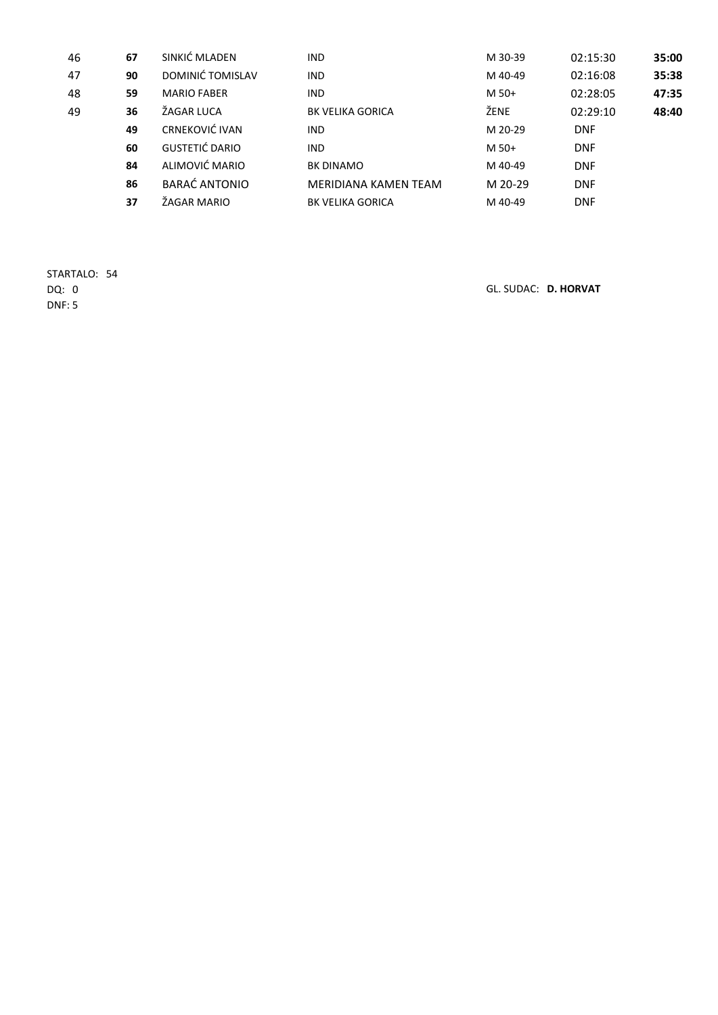| 46 | 67 | SINKIĆ MLADEN         | <b>IND</b>              | M 30-39 | 02:15:30   | 35:00 |
|----|----|-----------------------|-------------------------|---------|------------|-------|
| 47 | 90 | DOMINIĆ TOMISLAV      | <b>IND</b>              | M 40-49 | 02:16:08   | 35:38 |
| 48 | 59 | <b>MARIO FABER</b>    | <b>IND</b>              | M 50+   | 02:28:05   | 47:35 |
| 49 | 36 | ŽAGAR LUCA            | <b>BK VELIKA GORICA</b> | ŽENE    | 02:29:10   | 48:40 |
|    | 49 | CRNEKOVIĆ IVAN        | <b>IND</b>              | M 20-29 | <b>DNF</b> |       |
|    | 60 | <b>GUSTETIĆ DARIO</b> | <b>IND</b>              | M 50+   | <b>DNF</b> |       |
|    | 84 | ALIMOVIĆ MARIO        | <b>BK DINAMO</b>        | M 40-49 | <b>DNF</b> |       |
|    | 86 | <b>BARAĆ ANTONIO</b>  | MERIDIANA KAMEN TEAM    | M 20-29 | <b>DNF</b> |       |
|    | 37 | ŽAGAR MARIO           | <b>BK VELIKA GORICA</b> | M 40-49 | <b>DNF</b> |       |

STARTALO: 54 DNF: 5

DQ: 0 GL. SUDAC: D. HORVAT